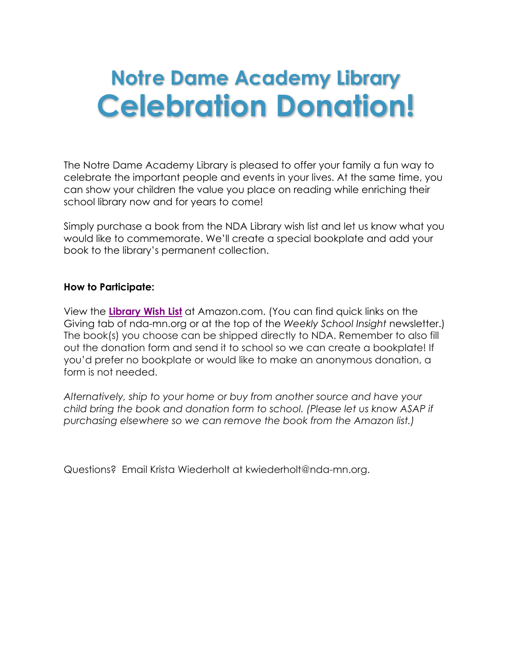# **Notre Dame Academy Library Celebration Donation!**

The Notre Dame Academy Library is pleased to offer your family a fun way to celebrate the important people and events in your lives. At the same time, you can show your children the value you place on reading while enriching their school library now and for years to come!

Simply purchase a book from the NDA Library wish list and let us know what you would like to commemorate. We'll create a special bookplate and add your book to the library's permanent collection.

### **How to Participate:**

View the **Library Wish List** at Amazon.com. (You can find quick links on the Giving tab of nda-mn.org or at the top of the *Weekly School Insight* newsletter.) The book(s) you choose can be shipped directly to NDA. Remember to also fill out the donation form and send it to school so we can create a bookplate! If you'd prefer no bookplate or would like to make an anonymous donation, a form is not needed.

*Alternatively, ship to your home or buy from another source and have your child bring the book and donation form to school. (Please let us know ASAP if purchasing elsewhere so we can remove the book from the Amazon list.)*

Questions? Email Krista Wiederholt at kwiederholt@nda-mn.org.